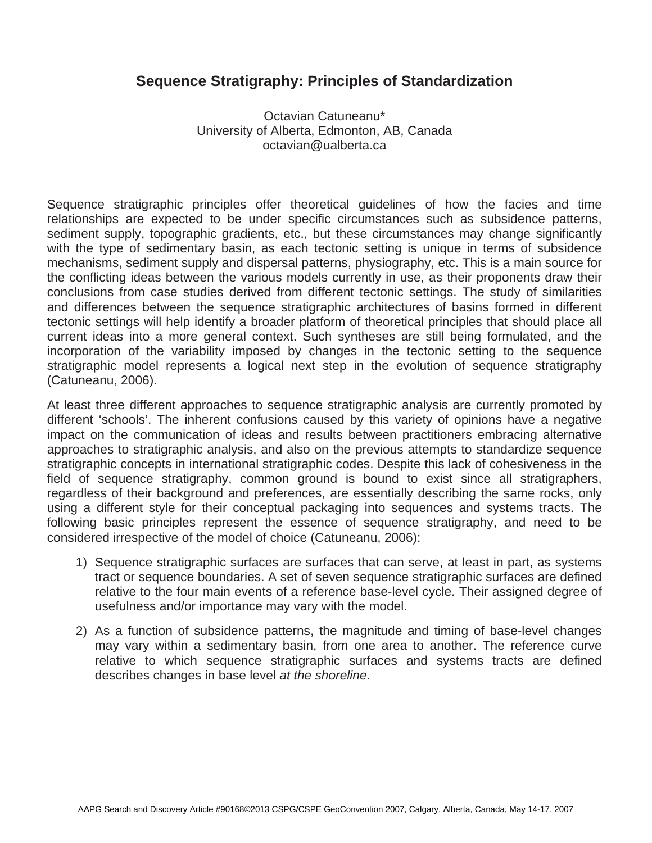## **Sequence Stratigraphy: Principles of Standardization**

Octavian Catuneanu\* University of Alberta, Edmonton, AB, Canada octavian@ualberta.ca

Sequence stratigraphic principles offer theoretical guidelines of how the facies and time relationships are expected to be under specific circumstances such as subsidence patterns, sediment supply, topographic gradients, etc., but these circumstances may change significantly with the type of sedimentary basin, as each tectonic setting is unique in terms of subsidence mechanisms, sediment supply and dispersal patterns, physiography, etc. This is a main source for the conflicting ideas between the various models currently in use, as their proponents draw their conclusions from case studies derived from different tectonic settings. The study of similarities and differences between the sequence stratigraphic architectures of basins formed in different tectonic settings will help identify a broader platform of theoretical principles that should place all current ideas into a more general context. Such syntheses are still being formulated, and the incorporation of the variability imposed by changes in the tectonic setting to the sequence stratigraphic model represents a logical next step in the evolution of sequence stratigraphy (Catuneanu, 2006).

At least three different approaches to sequence stratigraphic analysis are currently promoted by different 'schools'. The inherent confusions caused by this variety of opinions have a negative impact on the communication of ideas and results between practitioners embracing alternative approaches to stratigraphic analysis, and also on the previous attempts to standardize sequence stratigraphic concepts in international stratigraphic codes. Despite this lack of cohesiveness in the field of sequence stratigraphy, common ground is bound to exist since all stratigraphers, regardless of their background and preferences, are essentially describing the same rocks, only using a different style for their conceptual packaging into sequences and systems tracts. The following basic principles represent the essence of sequence stratigraphy, and need to be considered irrespective of the model of choice (Catuneanu, 2006):

- 1) Sequence stratigraphic surfaces are surfaces that can serve, at least in part, as systems tract or sequence boundaries. A set of seven sequence stratigraphic surfaces are defined relative to the four main events of a reference base-level cycle. Their assigned degree of usefulness and/or importance may vary with the model.
- 2) As a function of subsidence patterns, the magnitude and timing of base-level changes may vary within a sedimentary basin, from one area to another. The reference curve relative to which sequence stratigraphic surfaces and systems tracts are defined describes changes in base level *at the shoreline*.